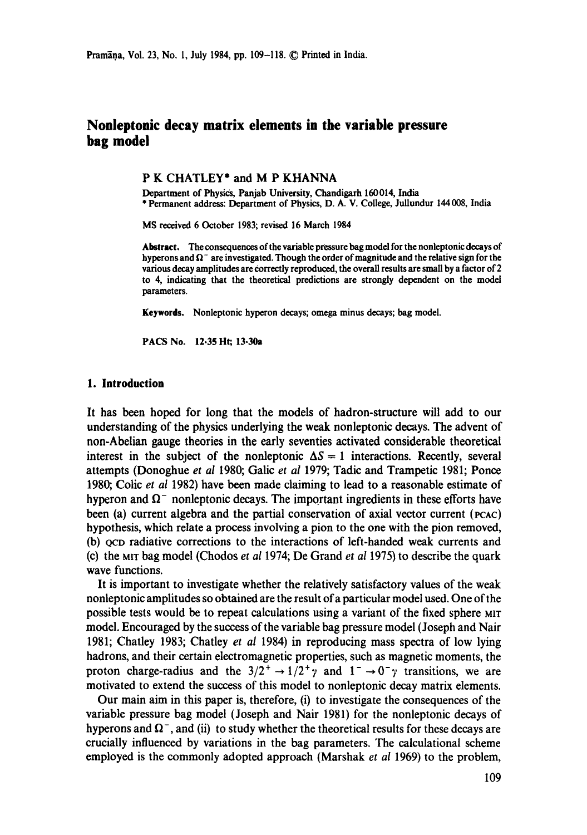Pramāņa, Vol. 23, No. 1, July 1984, pp. 109-118. © Printed in India.

# **Nonleptonic decay matrix elements in the variable pressure bag model**

#### P K CHATLEY\* and M P KHANNA

Department of Physics, Panjab University, Chandigarh 160014, India \* Permanent address: Department of Physics, D. A. V. College, Jullundur 144 008, India

MS received 6 October 1983; revised 16 March 1984

Abstract. The consequences of the variable pressure bag model for the nonleptonic decays of hyperons and  $\Omega^-$  are investigated. Though the order of magnitude and the relative sign for the various decay amplitudes are correctly reproduced, the overall **results are** small by a factor of 2 to 4, indicating that the theoretical predictions are strongly dependent on the **model**  parameters.

**Keywords.** Nonleptonic hyperon decays, omega minus decays; bag model.

PACS No. 12.35 Ht; 13.30a

# **1. Introduction**

It has been hoped for long that the models of hadron-structure will add to our understanding of the physics underlying the weak nonleptonic decays. The advent of non-Abelian gauge theories in the early seventies activated considerable theoretical interest in the subject of the nonleptonic  $\Delta S = 1$  interactions. Recently, several attempts (Donoghue *et al* 1980; Galic *et al* 1979; Tadic and Trampetic 1981; Ponce 1980; Colic *et al* 1982) have been made claiming to lead to a reasonable estimate of hyperon and  $\Omega$ <sup>-</sup> nonleptonic decays. The important ingredients in these efforts have been (a) current algebra and the partial conservation of axial vector current (PCAC) hypothesis, which relate a process involving a pion to the one with the pion removed, (b) QCD radiative corrections to the interactions of left-handed weak currents and (e) the MIT bag model (Chodos *et al* 1974; De Grand *et al* 1975) to describe the quark wave functions.

It is important to investigate whether the relatively satisfactory values of the weak nonleptonic amplitudes so obtained are the result of a particular model used. One of the possible tests would be to repeat calculations using a variant of the fixed sphere MIT model. Encouraged by the success of the variable bag pressure model (Joseph and Nair 1981; Chatley 1983; Chatley et *al* 1984) in reproducing mass spectra of low lying hadrons, and their certain electromagnetic properties, such as magnetic moments, the proton charge-radius and the  $3/2^+ \rightarrow 1/2^+ \gamma$  and  $1^- \rightarrow 0^- \gamma$  transitions, we are motivated to extend the success of this model to nonleptonic decay matrix elements.

Our main aim in this paper is, therefore, (i) to investigate the consequences of the variable pressure bag model (Joseph and Nair 1981) for the nonleptonic decays of hyperons and  $\Omega^-$ , and (ii) to study whether the theoretical results for these decays are crucially influenced by variations in the bag parameters. The calculational scheme employed is the commonly adopted approach (Marshak *et al* 1969) to the problem,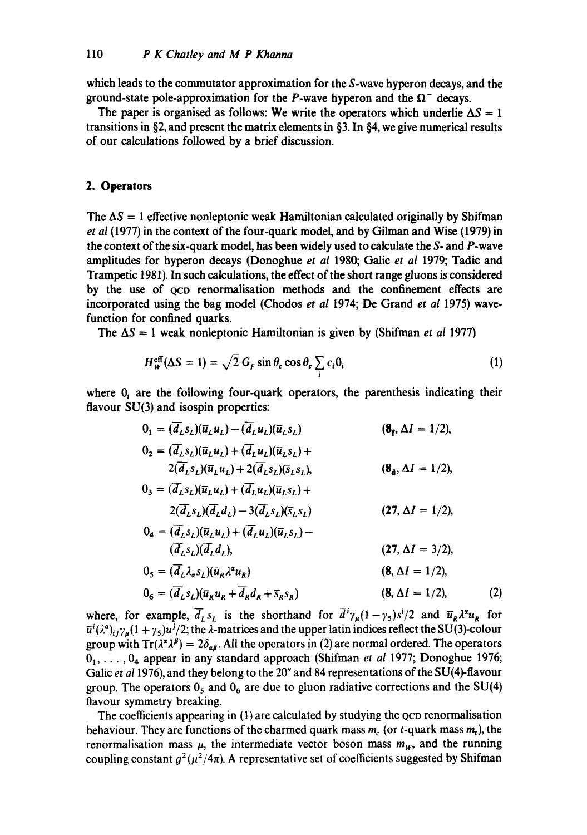which leads to the commutator approximation for the S-wave hyperon decays, and the ground-state pole-approximation for the P-wave hyperon and the  $\Omega^-$  decays.

The paper is organised as follows: We write the operators which underlie  $\Delta S = 1$ transitions in §2, and present the matrix elements in §3. In §4, we give numerical results of our calculations followed by a brief discussion.

# **2. Operators**

The  $\Delta S = 1$  effective nonleptonic weak Hamiltonian calculated originally by Shifman *et al* (1977) in the context of the four-quark model, and by Gilman and Wise (1979) in the context of the six-quark model, has been widely used to calculate the S- and P-wave amplitudes for hyperon decays (Donoghue *et al* 1980; Galic *et al* 1979; Tadic and Trampetic 1981). In such calculations, the effect of the short range gluons is considered by the use of QCD renormalisation methods and the confinement effects are incorporated using the bag model (Chodos *et al* 1974; De Grand *et al* 1975) wavefunction for confined quarks.

The  $\Delta S = 1$  weak nonleptonic Hamiltonian is given by (Shifman *et al* 1977)

$$
H_{\mathbf{w}}^{\mathrm{eff}}(\Delta S=1)=\sqrt{2} G_F \sin \theta_c \cos \theta_c \sum_i c_i 0_i \tag{1}
$$

where  $0<sub>i</sub>$  are the following four-quark operators, the parenthesis indicating their flavour SU(3) and isospin properties:

$$
0_{1} = (d_{L}s_{L})(\overline{u}_{L}u_{L}) - (d_{L}u_{L})(\overline{u}_{L}s_{L}) \qquad (8_{f}, \Delta I = 1/2),
$$
  
\n
$$
0_{2} = (\overline{d}_{L}s_{L})(\overline{u}_{L}u_{L}) + (\overline{d}_{L}u_{L})(\overline{u}_{L}s_{L}) +
$$
  
\n
$$
2(\overline{d}_{L}s_{L})(\overline{u}_{L}u_{L}) + 2(\overline{d}_{L}s_{L})(\overline{s}_{L}s_{L}), \qquad (8_{d}, \Delta I = 1/2),
$$
  
\n
$$
0_{3} = (\overline{d}_{L}s_{L})(\overline{u}_{L}u_{L}) + (\overline{d}_{L}u_{L})(\overline{u}_{L}s_{L}) +
$$
  
\n
$$
2(\overline{d}_{L}s_{L})(\overline{d}_{L}d_{L}) - 3(\overline{d}_{L}s_{L})(\overline{s}_{L}s_{L}) \qquad (27, \Delta I = 1/2),
$$
  
\n
$$
0_{4} = (\overline{d}_{L}s_{L})(\overline{u}_{L}u_{L}) + (\overline{d}_{L}u_{L})(\overline{u}_{L}s_{L}) -
$$
  
\n
$$
(\overline{d}_{L}s_{L})(\overline{d}_{L}d_{L}), \qquad (27, \Delta I = 3/2),
$$
  
\n
$$
0_{5} = (\overline{d}_{L}s_{L})(\overline{u}_{R}u_{R} + \overline{d}_{R}d_{R} + \overline{s}_{R}s_{R}) \qquad (8, \Delta I = 1/2),
$$
  
\n
$$
0_{6} = (\overline{d}_{L}s_{L})(\overline{u}_{R}u_{R} + \overline{d}_{R}d_{R} + \overline{s}_{R}s_{R}) \qquad (8, \Delta I = 1/2),
$$
  
\n(2)

where, for example,  $\overline{d}_L s_L$  is the shorthand for  $d^2\gamma_\mu (1-\gamma_5)s^2/2$  and  $\overline{u}_R \lambda^\mu u_R$  for  $\bar{u}^i(\lambda^a)_{ij}\gamma_\mu(1+\gamma_5)u^j/2$ ; the  $\lambda$ -matrices and the upper latin indices reflect the SU(3)-colour group with  $Tr(\lambda^{\alpha}\lambda^{\beta}) = 2\delta_{\alpha\beta}$ . All the operators in (2) are normal ordered. The operators 01 ..... 04 appear in any standard approach (Shifman *et al* 1977; Donoghue 1976; Galic *et a11976),* and they belong to the 20" and 84 representations of the SU(4)-flavour group. The operators  $0_5$  and  $0_6$  are due to gluon radiative corrections and the SU(4) flavour symmetry breaking.

The coefficients appearing in (1) are calculated by studying the QCD renormalisation behaviour. They are functions of the charmed quark mass  $m_c$  (or t-quark mass  $m_t$ ), the renormalisation mass  $\mu$ , the intermediate vector boson mass  $m_{w}$ , and the running coupling constant  $g^2(\mu^2/4\pi)$ . A representative set of coefficients suggested by Shifman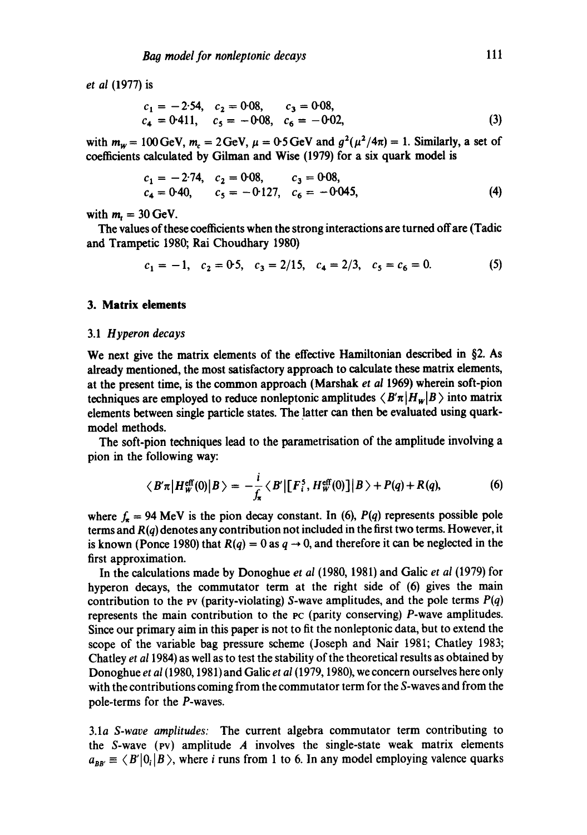*et al* (1977) is

$$
c_1 = -2.54, c_2 = 0.08, c_3 = 0.08,c_4 = 0.411, c_5 = -0.08, c_6 = -0.02,
$$
 (3)

with  $m_w = 100 \text{ GeV}$ ,  $m_c = 2 \text{ GeV}$ ,  $\mu = 0.5 \text{ GeV}$  and  $g^2(\mu^2/4\pi) = 1$ . Similarly, a set of coefficients calculated by Gilman and Wise (1979) for a six quark model is

$$
c_1 = -2.74, \quad c_2 = 0.08, \quad c_3 = 0.08, \quad c_4 = 0.40, \quad c_5 = -0.127, \quad c_6 = -0.045, \tag{4}
$$

with  $m_t = 30$  GeV.

The values of these coefficients when the strong interactions are turned off are (Tadic and Trampetic 1980; Rai Choudhary 1980)

$$
c_1 = -1, \quad c_2 = 0.5, \quad c_3 = 2/15, \quad c_4 = 2/3, \quad c_5 = c_6 = 0. \tag{5}
$$

# **3. Matrix elements**

#### 3.1 *Hyperon decays*

We next give the matrix elements of the effective Hamiltonian described in §2. As already mentioned, the most satisfactory approach to calculate these matrix elements, at the present time, is the common approach (Marshak *et al* 1969) wherein soft-pion techniques are employed to reduce nonleptonic amplitudes  $\langle B' \pi | H_w | B \rangle$  into matrix elements between single particle states. The latter can then be evaluated using quarkmodel methods.

The soft-pion techniques lead to the parametrisation of the amplitude involving a pion in the following way:

$$
\langle B'\pi \big| H^{\rm eff}_W(0) \big| B \rangle = -\frac{i}{f_\pi} \langle B' \big| \big[ F_i^5, H^{\rm eff}_W(0) \big] \big| B \rangle + P(q) + R(q), \tag{6}
$$

where  $f_x = 94$  MeV is the pion decay constant. In (6),  $P(q)$  represents possible pole terms and *R(q)* denotes any contribution not included in the first two terms. However, it is known (Ponce 1980) that  $R(q) = 0$  as  $q \to 0$ , and therefore it can be neglected in the first approximation.

In the calculations made by Donoghue *et al* (1980, 1981) and Galic *et al* (1979) for hyperon decays, the commutator term at the right side of (6) gives the main contribution to the pv (parity-violating) S-wave amplitudes, and the pole terms *P(q)*  represents the main contribution to the Pc (parity conserving) P-wave amplitudes. Since our primary aim in this paper is not to fit the nonleptonic data, but to extend the scope of the variable bag pressure scheme (Joseph and Nair 1981; Chatley 1983; Chatley *et a11984)* as well as to test the stability of the theoretical results as obtained by Donoghue *et al* (1980, 1981) and Galic *et al* (1979, 1980), we concern ourselves here only with the contributions coming from the commutator term for the S-waves and from the pole-terms for the P-waves.

3.1a *S-wave amplitudes:* The current algebra commutator term contributing to the S-wave ( $\mathbf{v}$ ) amplitude A involves the single-state weak matrix elements  $a_{BB'} \equiv \langle B'|0_i|B\rangle$ , where i runs from 1 to 6. In any model employing valence quarks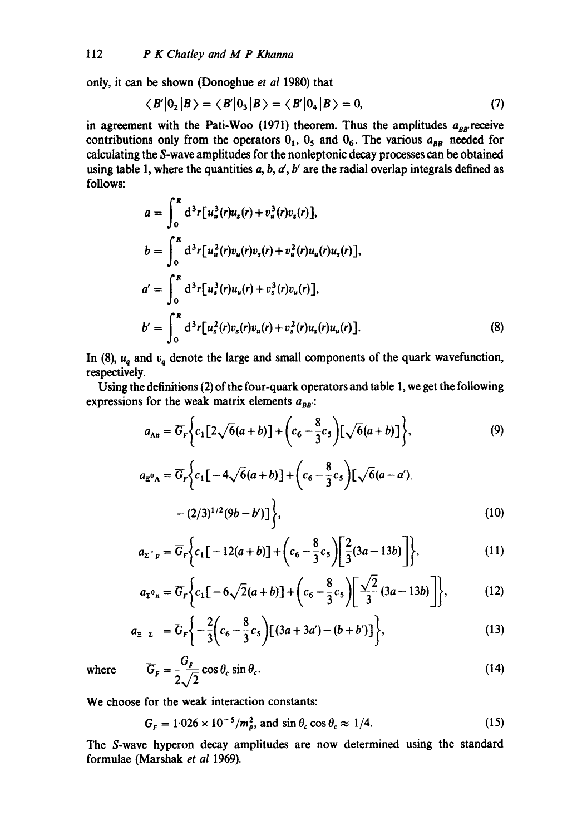only, it can be shown (Donoghue *et al* 1980) that

$$
\langle B' | 0_2 | B \rangle = \langle B' | 0_3 | B \rangle = \langle B' | 0_4 | B \rangle = 0, \tag{7}
$$

in agreement with the Pati-Woo  $(1971)$  theorem. Thus the amplitudes  $a_{BB}$  receive contributions only from the operators  $0_1$ ,  $0_5$  and  $0_6$ . The various  $a_{BB'}$  needed for calculating the S-wave amplitudes for the nonleptonic decay processes can be obtained using table 1, where the quantities  $a, b, a', b'$  are the radial overlap integrals defined as follows:

$$
a = \int_0^R d^3r [u_u^3(r)u_s(r) + v_u^3(r)v_s(r)],
$$
  
\n
$$
b = \int_0^R d^3r [u_u^2(r)v_u(r)v_s(r) + v_u^2(r)u_u(r)u_s(r)],
$$
  
\n
$$
a' = \int_0^R d^3r [u_s^3(r)u_u(r) + v_s^3(r)v_u(r)],
$$
  
\n
$$
b' = \int_0^R d^3r [u_s^2(r)v_s(r)v_u(r) + v_s^2(r)u_s(r)u_u(r)].
$$
\n(8)

In (8),  $u_q$  and  $v_q$  denote the large and small components of the quark wavefunction, respectively.

Using the definitions (2) of the four-quark operators and table 1, we get the following expressions for the weak matrix elements  $a_{BB}$ .

$$
a_{\Lambda n} = \overline{G}_F \bigg\{ c_1 \big[ 2 \sqrt{6} (a+b) \big] + \bigg( c_6 - \frac{8}{3} c_5 \bigg) \big[ \sqrt{6} (a+b) \big] \bigg\},\tag{9}
$$

$$
a_{\Xi^{0}\Lambda} = \overline{G}_{F} \Biggl\{ c_{1} \bigl[ -4\sqrt{6}(a+b) \bigr] + \biggl( c_{6} - \frac{8}{3} c_{5} \biggr) \bigl[ \sqrt{6}(a-a') - (2/3)^{1/2} (9b-b') \bigr] \Biggr\},
$$
\n(10)

$$
a_{\Sigma^{+} p} = \overline{G}_{F} \Biggl\{ c_{1} \bigl[ -12(a+b) \bigr] + \biggl( c_{6} - \frac{8}{3} c_{5} \biggr) \bigg[ \frac{2}{3} (3a - 13b) \bigg] \Biggr\},
$$
\n(11)

$$
a_{\Sigma^{0}n} = \overline{G}_F \bigg\{ c_1 \big[ -6\sqrt{2}(a+b) \big] + \bigg( c_6 - \frac{8}{3} c_5 \bigg) \bigg[ \frac{\sqrt{2}}{3} (3a - 13b) \bigg] \bigg\},
$$
(12)

$$
a_{\Xi^{-}\Sigma^{-}} = \overline{G}_F \bigg\{ -\frac{2}{3} \bigg( c_6 - \frac{8}{3} c_5 \bigg) \big[ (3a + 3a') - (b + b') \big] \bigg\},
$$
 (13)

where 
$$
\overline{G}_F = \frac{G_F}{2\sqrt{2}} \cos \theta_c \sin \theta_c.
$$
 (14)

We choose for the weak interaction constants:

$$
G_F = 1.026 \times 10^{-5} / m_p^2, \text{ and } \sin \theta_c \cos \theta_c \approx 1/4. \tag{15}
$$

The S-wave hyperon decay amplitudes are now determined using the standard formulae (Marshak *et al* 1969).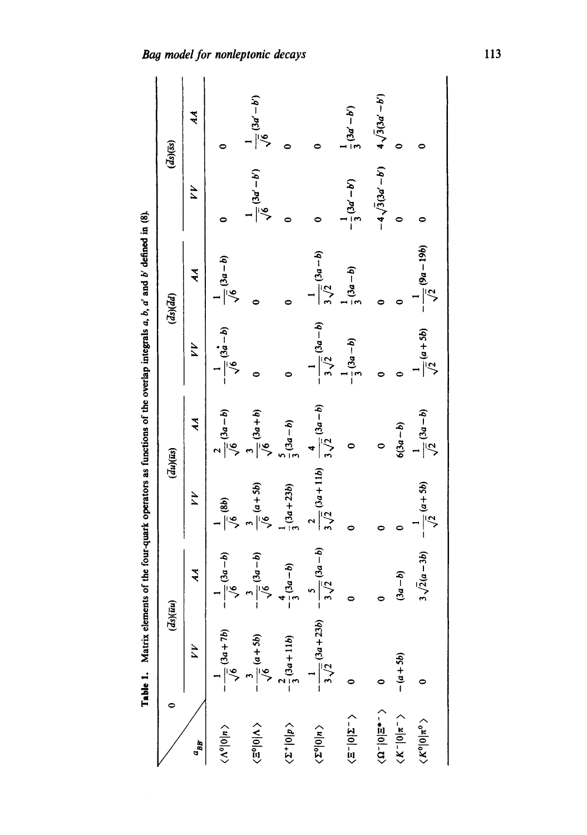|                                          | Table 1. Matrix elements of the four-quark operators as functions of the overlap integrals $a, b, a'$ and b' defined in (8). |                            |                               |                             |                              |                                 |                              |                                   |
|------------------------------------------|------------------------------------------------------------------------------------------------------------------------------|----------------------------|-------------------------------|-----------------------------|------------------------------|---------------------------------|------------------------------|-----------------------------------|
|                                          | $\overline{ds}$ $\overline{u}$ $\overline{u}$                                                                                |                            | $\overline{(du)(us)}$         |                             |                              | $\overline{ds}$ $\overline{d}d$ |                              | $\overline{ds}$ $\overline{(ss)}$ |
| $\sigma_{B}$                             | YY                                                                                                                           | $\tilde{\mathcal{H}}$      | YY                            | ર્સ                         | YV                           | र्नु                            | 44                           | 44                                |
| $\langle \Lambda^0   0   n \rangle$      | $-\frac{1}{\sqrt{6}}(3a+7b)$                                                                                                 | $\frac{1}{\sqrt{6}}(3a-b)$ | $\frac{6}{10}$ (8b)           | $\frac{1}{\sqrt{6}}(3a-b)$  | $-\frac{1}{\sqrt{6}}(3a-b)$  | $\frac{1}{\sqrt{6}}(3a-b)$      |                              |                                   |
| $\langle \Xi^0   0   \Lambda \rangle$    | $\frac{1}{\sqrt{6}}(a+5b)$                                                                                                   | $\frac{1}{\sqrt{6}}(3a-b)$ | $\frac{1}{\sqrt{6}}(a+5b)$    | $\frac{1}{\sqrt{6}}(3a+b)$  |                              |                                 | $\frac{1}{\sqrt{6}}(3a'-b')$ | $\frac{1}{\sqrt{6}}(3a'-b')$      |
| $\langle 2^+ 0 p\rangle$                 | $-\frac{1}{3}(3a+11b)$                                                                                                       | $(3a - b)$                 | $\frac{1}{3}(3a+23b)$         | $\frac{1}{3}(3a-b)$         |                              |                                 |                              |                                   |
| $\langle \Sigma^0   0   n \rangle$       | $\frac{1}{3\sqrt{2}}(3a+23b)$                                                                                                | $\frac{5}{\sqrt{2}}(3a-b)$ | $\frac{1}{3\sqrt{2}}(3a+11b)$ | $\frac{1}{3\sqrt{2}}(3a-b)$ | $-\frac{3\sqrt{2}}{3(2a-b)}$ | $\frac{1}{3\sqrt{2}}(3a-b)$     |                              |                                   |
| $\langle \Xi^- 0 \Sigma^- \rangle$       |                                                                                                                              |                            |                               |                             | $-\frac{1}{3}(3a-b)$         | $\frac{1}{2}(3a-b)$             | $-\frac{1}{3}(3a'-b')$       | $\frac{1}{3}(3a'-b')$             |
| $\langle \, \Omega^- 0 \Xi^* \, \rangle$ |                                                                                                                              |                            |                               | 0                           |                              |                                 | $-4\sqrt{3(3a'-b')}$         | $4\sqrt{3(3a'-b')}$               |
| $\langle K^- 0 \pi^-\rangle$             | $- (a + 5b)$                                                                                                                 | $(3a - b)$                 |                               | $(3a - b)$                  |                              |                                 |                              | 0                                 |
| $\langle K^0   0   \pi^0 \rangle$        |                                                                                                                              | $3\sqrt{2(a-3b)}$          | $-\frac{a+5b}{\sqrt{2}}$      | $\frac{1}{\sqrt{2}}(3a-b)$  | $\frac{1}{\sqrt{2}}(a+5b)$   | $-\frac{6}{\sqrt{2}}(9a-19b)$   |                              |                                   |

Bag model for nonleptonic decays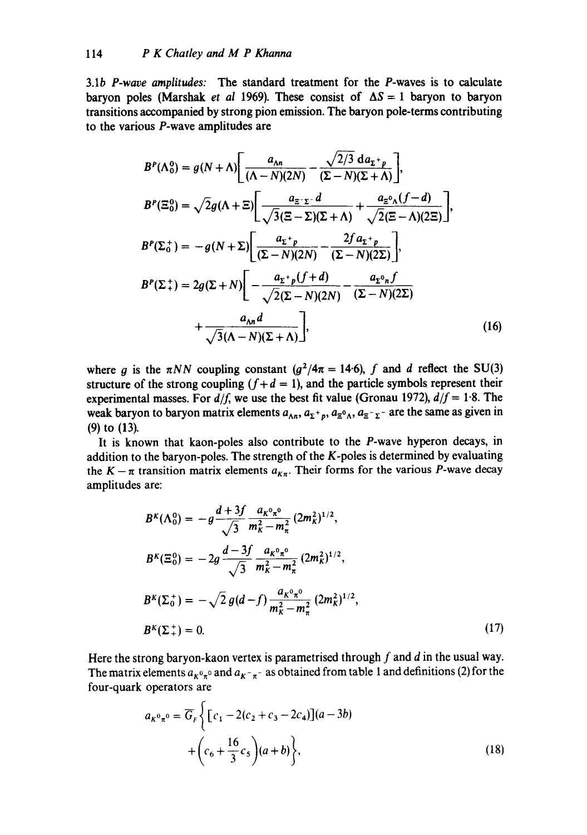3.1b *P-wave amplitudes:* The standard treatment for the P-waves is to calculate baryon poles (Marshak *et al 1969*). These consist of  $\Delta S = 1$  baryon to baryon transitions accompanied by strong pion emission. The baryon pole-terms contributing to the various P-wave amplitudes are

$$
B^{P}(\Lambda_{0}^{0}) = g(N+\Lambda) \bigg[ \frac{a_{\Lambda n}}{(\Lambda - N)(2N)} - \frac{\sqrt{2/3} d a_{\Sigma^{+} p}}{(\Sigma - N)(\Sigma + \Lambda)} \bigg],
$$
  
\n
$$
B^{P}(\Xi_{0}^{0}) = \sqrt{2} g(\Lambda + \Xi) \bigg[ \frac{a_{\Xi^{-}\Sigma^{-}} d}{\sqrt{3}(\Xi - \Sigma)(\Sigma + \Lambda)} + \frac{a_{\Xi^{0}\Lambda}(f - d)}{\sqrt{2}(\Xi - \Lambda)(2\Xi)} \bigg],
$$
  
\n
$$
B^{P}(\Sigma_{0}^{+}) = -g(N+\Sigma) \bigg[ \frac{a_{\Sigma^{+} p}}{(\Sigma - N)(2N)} - \frac{2f a_{\Sigma^{+} p}}{(\Sigma - N)(2\Sigma)} \bigg],
$$
  
\n
$$
B^{P}(\Sigma_{+}^{+}) = 2g(\Sigma + N) \bigg[ -\frac{a_{\Sigma^{+} p}(f + d)}{\sqrt{2}(\Sigma - N)(2N)} - \frac{a_{\Sigma^{0} n} f}{(\Sigma - N)(2\Sigma)}
$$
  
\n
$$
+ \frac{a_{\Lambda n} d}{\sqrt{3}(\Lambda - N)(\Sigma + \Lambda)} \bigg],
$$
(16)

where g is the  $\pi NN$  coupling constant ( $g^2/4\pi = 14.6$ ), f and d reflect the SU(3) structure of the strong coupling  $(f+d = 1)$ , and the particle symbols represent their experimental masses. For  $d/f$ , we use the best fit value (Gronau 1972),  $d/f = 1.8$ . The weak baryon to baryon matrix elements  $a_{\Lambda n}$ ,  $a_{\Sigma^+p}$ ,  $a_{\Xi^0\Lambda}$ ,  $a_{\Xi^-\Sigma^-}$  are the same as given in (9) to (13).

It is known that kaon-poles also contribute to the P-wave hyperon decays, in addition to the baryon-poles. The strength of the K-poles is determined by evaluating the  $K - \pi$  transition matrix elements  $a_{K\pi}$ . Their forms for the various P-wave decay amplitudes are:

$$
B^{K}(\Lambda_{0}^{0}) = -g \frac{d + 3f}{\sqrt{3}} \frac{a_{K}^{0} n^{0}}{m_{K}^{2} - m_{\pi}^{2}} (2m_{K}^{2})^{1/2},
$$
  
\n
$$
B^{K}(\Xi_{0}^{0}) = -2g \frac{d - 3f}{\sqrt{3}} \frac{a_{K}^{0} n^{0}}{m_{K}^{2} - m_{\pi}^{2}} (2m_{K}^{2})^{1/2},
$$
  
\n
$$
B^{K}(\Sigma_{0}^{+}) = -\sqrt{2} g(d - f) \frac{a_{K}^{0} n^{0}}{m_{K}^{2} - m_{\pi}^{2}} (2m_{K}^{2})^{1/2},
$$
  
\n
$$
B^{K}(\Sigma_{+}^{+}) = 0.
$$
\n(17)

Here the strong baryon-kaon vertex is parametrised through  $f$  and  $d$  in the usual way. The matrix elements  $a_{K^0\pi^0}$  and  $a_{K^-\pi^-}$  as obtained from table 1 and definitions (2) for the four-quark operators are

$$
a_{K^{0}n^{0}} = \overline{G}_{F}\left\{ [c_{1} - 2(c_{2} + c_{3} - 2c_{4})](a - 3b) + (c_{6} + \frac{16}{3}c_{5})(a + b) \right\},
$$
\n(18)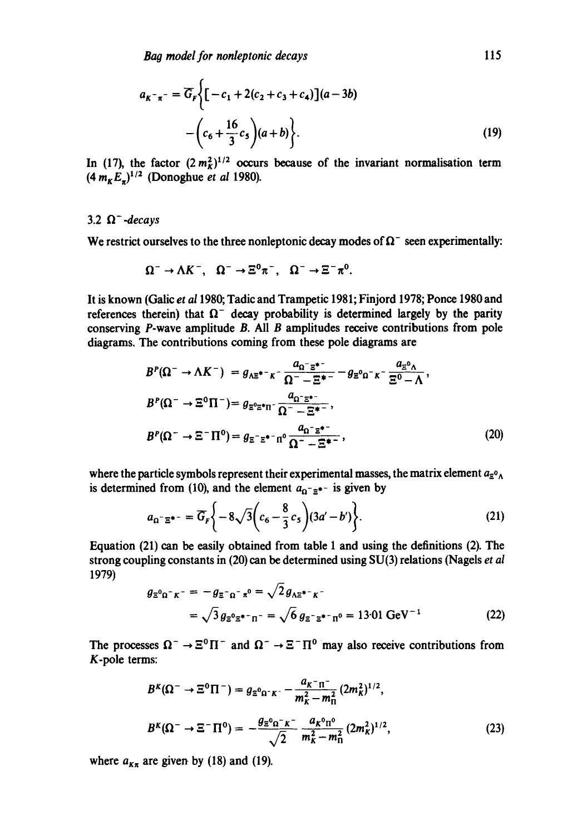$$
a_{K^{-}\pi^{-}} = \overline{G}_F \Biggl\{ \Biggl[ -c_1 + 2(c_2 + c_3 + c_4) \Biggr] (a - 3b)
$$

$$
- \Biggl( c_6 + \frac{16}{3} c_5 \Biggr) (a + b) \Biggr\}.
$$
 (19)

In (17), the factor  $(2 m<sub>K</sub><sup>2</sup>)^{1/2}$  occurs because of the invariant normalisation term  $(4 m_{K}E_{})^{1/2}$  (Donoghue *et al* 1980).

# 3.2  $\Omega^-$ *-decays*

We restrict ourselves to the three nonleptonic decay modes of  $\Omega^-$  seen experimentally:

$$
\Omega^- \to \Lambda K^- , \quad \Omega^- \to \Xi^0 \pi^+, \quad \Omega^- \to \Xi^- \pi^0.
$$

**It** is known (Galic *et a11980;* Tadic and Trampetic 1981; Finjord 1978; Ponce 1980 and references therein) that  $\Omega^-$  decay probability is determined largely by the parity conserving P-wave amplitude B. All B amplitudes receive contributions from pole diagrams. The contributions coming from these pole diagrams are

$$
B^{P}(\Omega^{-} \to \Lambda K^{-}) = g_{\Lambda \Xi^{*-} K^{-}} \frac{a_{\Omega}^{-} \Xi^{*-}}{\Omega^{-} - \Xi^{*-}} - g_{\Xi^{0} \Omega^{-} K^{-}} \frac{a_{\Xi^{0} \Lambda}}{\Xi^{0} - \Lambda},
$$
  
\n
$$
B^{P}(\Omega^{-} \to \Xi^{0} \Pi^{-}) = g_{\Xi^{0} \Xi^{*} \Pi^{-}} \frac{a_{\Omega^{-} \Xi^{*-}}}{\Omega^{-} - \Xi^{*-}},
$$
  
\n
$$
B^{P}(\Omega^{-} \to \Xi^{-} \Pi^{0}) = g_{\Xi^{-} \Xi^{*-} \Pi^{0}} \frac{a_{\Omega^{-} \Xi^{*-}}}{\Omega^{-} - \Xi^{*-}},
$$
\n(20)

where the particle symbols represent their experimental masses, the matrix element  $a_{\Xi_0}$ is determined from (10), and the element  $a_{\Omega^-}$  =\*- is given by

$$
a_{\Omega^- \Xi^{*-}} = \overline{G}_F \bigg\{ -8\sqrt{3} \bigg( c_6 - \frac{8}{3} c_5 \bigg) (3a' - b') \bigg\}.
$$
 (21)

Equation (21) can be easily obtained from table 1 and using the definitions (2). The strong coupling constants in (20) can be determined using SU(3) relations (Nagels *et al*  1979)

$$
g_{\Xi^0 \Omega^- K^-} = -g_{\Xi^- \Omega^- R^0} = \sqrt{2} g_{\Lambda \Xi^*^- K^-}
$$
  
=  $\sqrt{3} g_{\Xi^0 \Xi^* \Gamma^- R^-} = \sqrt{6} g_{\Xi^- \Xi^* \Gamma^- R^0} = 13.01 \text{ GeV}^{-1}$  (22)

The processes  $\Omega^- \to \Xi^0 \Pi^-$  and  $\Omega^- \to \Xi^- \Pi^0$  may also receive contributions from K-pole terms:

$$
B^{k}(\Omega^{-} \to \Xi^{0} \Pi^{-}) = g_{\Xi^{0} \Omega^{-} K^{-}} - \frac{a_{K^{-}} n^{-}}{m_{K}^{2} - m_{\Pi}^{2}} (2m_{K}^{2})^{1/2},
$$
  

$$
B^{k}(\Omega^{-} \to \Xi^{-} \Pi^{0}) = -\frac{g_{\Xi^{0} \Omega^{-} K^{-}}}{\sqrt{2}} \frac{a_{K}^{0} n^{0}}{m_{K}^{2} - m_{\Pi}^{2}} (2m_{K}^{2})^{1/2},
$$
(23)

where  $a_{K\pi}$  are given by (18) and (19).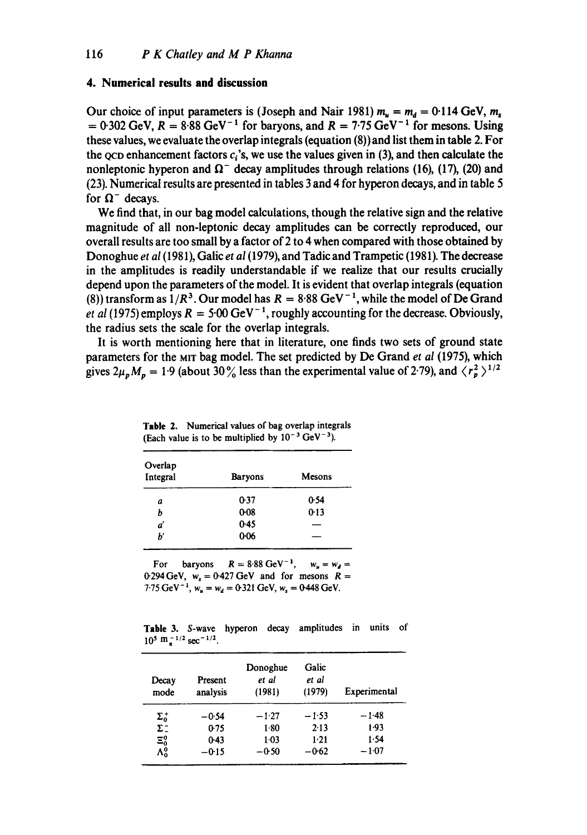#### **4. Numerical results and discussion**

Our choice of input parameters is (Joseph and Nair 1981)  $m_u = m_d = 0.114$  GeV,  $m_s$  $= 0.302 \text{ GeV}, R = 8.88 \text{ GeV}^{-1}$  for baryons, and  $R = 7.75 \text{ GeV}^{-1}$  for mesons. Using **these values, we evaluate the overlap integrals (equation (8)) and list them in table 2. For**  the  $QCD$  enhancement factors  $c_i$ 's, we use the values given in (3), and then calculate the nonleptonic hyperon and  $\Omega^-$  decay amplitudes through relations (16), (17), (20) and **(23). Numerical results are presented in tables 3 and 4 for hyperon decays, and in table 5**  for  $\Omega^-$  decays.

**We find that, in our bag model calculations, though the relative sign and the relative magnitude of all non-leptonic decay amplitudes can be correctly reproduced, our overall results are too small by a factor of 2 to 4 when compared with those obtained by Donoghue** *et al* **(1981), Galic** *et al* **(1979), and Tadic and Trampetic (1981). The decrease in the amplitudes is readily understandable if we realize that our results crucially depend upon the parameters of the model. It is evident that overlap integrals (equation**  (8)) transform as  $1/R^3$ . Our model has  $R = 8.88$  GeV<sup>-1</sup>, while the model of De Grand *et al (1975)* employs  $R = 5.00$  GeV<sup>-1</sup>, roughly accounting for the decrease. Obviously, **the radius sets the scale for the overlap integrals.** 

**It is worth mentioning here that in literature, one finds two sets of ground state**  parameters for the MIT bag model. The set predicted by De Grand et al (1975), which gives  $2\mu_p M_p = 1.9$  (about 30%) less than the experimental value of 2.79), and  $\langle r_p^2 \rangle^{1/2}$ 

| Overlap<br>Integral | <b>Baryons</b> | Mesons |
|---------------------|----------------|--------|
| а                   | 0.37           | 0.54   |
| b                   | $0 - 08$       | 0.13   |
| ď                   | 0.45           |        |
| b'                  | $0 - 06$       |        |

**Table 2. Numerical values of bag overlap integrals**  (Each value is to be multiplied by  $10^{-3}$  GeV<sup>-3</sup>).

For baryons  $R = 8.88 \text{ GeV}^{-1}$ ,  $w_u = w_d =$  $0.294 \text{ GeV}$ ,  $w_s = 0.427 \text{ GeV}$  and for mesons  $R =$  $7.75 \text{ GeV}^{-1}$ ,  $w_u = w_d = 0.321 \text{ GeV}$ ,  $w_s = 0.448 \text{ GeV}$ .

**Table 3. S-wave hyperon decay amplitudes in units of**   $10^5$  m $^{-1/2}$  sec<sup>-1/2</sup>.

| Decay<br>mode | Present<br>analysis | Donoghue<br>et al<br>(1981) | Galic<br>et al<br>(1979) | Experimental |
|---------------|---------------------|-----------------------------|--------------------------|--------------|
| $\Sigma_0^+$  | $-0.54$             | $-1.27$                     | $-1.53$                  | $-1.48$      |
| $\Sigma^-$    | 0.75                | 180                         | 2.13                     | 1.93         |
| $\Xi_0^0$     | $0-43$              | $1-03$                      | 1.21                     | 1.54         |
| $\Lambda^0_0$ | $-0.15$             | $-0.50$                     | $-0.62$                  | $-1.07$      |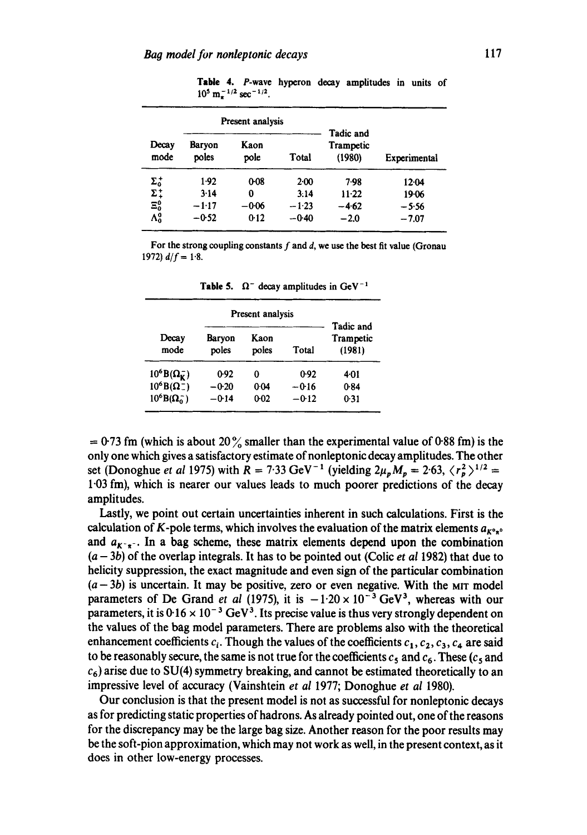**Table** 4. P-wave hyperon decay amplitudes in units of  $10^5$  m $^{-1/2}$  sec<sup>-1/2</sup>.

|               |                 | Present analysis |         |                                  |              |
|---------------|-----------------|------------------|---------|----------------------------------|--------------|
| Decay<br>mode | Barvon<br>poles | Kaon<br>pole     | Total   | Tadic and<br>Trampetic<br>(1980) | Experimental |
| $\Sigma_0^+$  | 1.92            | $0 - 08$         | $2-00$  | 7.98                             | 12.04        |
| $\Sigma_+^*$  | 3.14            | 0                | 3:14    | $11-22$                          | 19.06        |
| $\Xi_0^0$     | $-1:17$         | $-0.06$          | $-1.23$ | -462                             | -5.56        |
| $\Lambda_0^0$ | -0-52           | 0.12             | $-0.40$ | $-2.0$                           | $-7.07$      |

For the strong coupling constants  $f$  and  $d$ , we use the best fit value (Gronau 1972)  $d/f = 1.8$ .

| Decay<br>mode            | Baryon<br>poles | Kaon<br>poles | Total   | Tadic and<br>Trampetic<br>(1981) |
|--------------------------|-----------------|---------------|---------|----------------------------------|
| $10^6 B(\Omega_K^-)$     | 0.92            | 0             | 0.92    | 4.01                             |
| $10^6 B(\Omega^-)$       | $-0.20$         | 0.04          | -016    | 0.84                             |
| $10^6$ B( $\Omega_0^-$ ) | $-0.14$         | $0 - 02$      | $-0.12$ | 0.31                             |

**Table 5.**  $\Omega^-$  decay amplitudes in GeV<sup>-1</sup>

 $= 0.73$  fm (which is about 20% smaller than the experimental value of 0.88 fm) is the only one which gives a satisfactory estimate of nonleptonic decay amplitudes. The other set (Donoghue *et al* 1975) with  $R = 7.33 \text{ GeV}^{-1}$  (yielding  $2\mu_p M_p = 2.63$ ,  $\langle r_p^2 \rangle^{1/2} =$ 1.03 fm), which is nearer our values leads to much poorer predictions of the decay amplitudes.

Lastly, we point out certain uncertainties inherent in such calculations. First is the calculation of K-pole terms, which involves the evaluation of the matrix elements  $a_{K^o*^o}$ and  $a_{K-x}$ . In a bag scheme, these matrix elements depend upon the combination  $(a - 3b)$  of the overlap integrals. It has to be pointed out (Colic *et al* 1982) that due to helicity suppression, the exact magnitude and even sign of the particular combination  $(a - 3b)$  is uncertain. It may be positive, zero or even negative. With the MIT model parameters of De Grand *et al* (1975), it is  $-1.20 \times 10^{-3}$  GeV<sup>3</sup>, whereas with our parameters, it is  $0.16 \times 10^{-3}$  GeV<sup>3</sup>. Its precise value is thus very strongly dependent on the values of the bag model parameters. There are problems also with the theoretical enhancement coefficients  $c_i$ . Though the values of the coefficients  $c_1, c_2, c_3, c_4$  are said to be reasonably secure, the same is not true for the coefficients  $c_5$  and  $c_6$ . These ( $c_5$  and  $c_6$ ) arise due to SU(4) symmetry breaking, and cannot be estimated theoretically to an impressive level of accuracy (Vainshtein *et al* 1977; Donoghue *et al* 1980).

Our conclusion is that the present model is not as successful for nonleptonic decays as for predicting static properties of hadrons. As already pointed out, one of the reasons for the discrepancy may be the large bag size. Another reason for the poor results may be the soft-pion approximation, which may not work as well, in the present context, as it does in other low-energy processes.